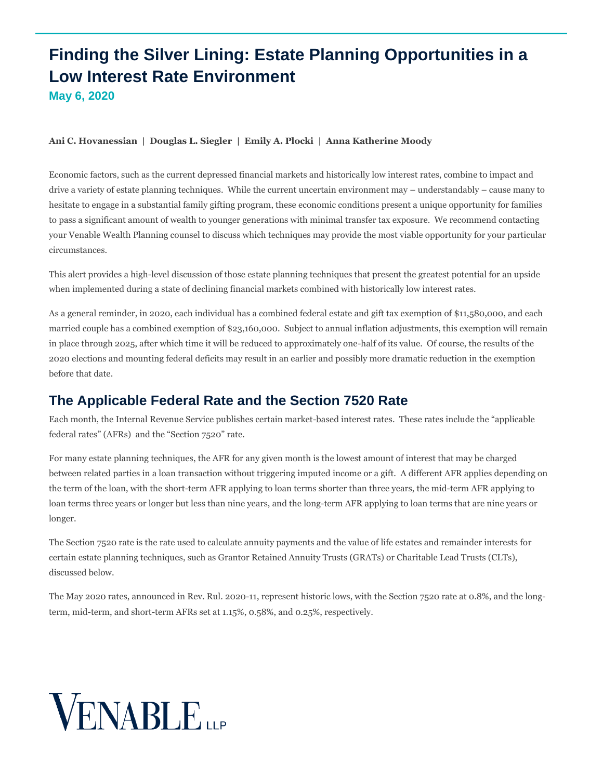## **Finding the Silver Lining: Estate Planning Opportunities in a Low Interest Rate Environment May 6, 2020**

#### **[Ani C. Hovanessian](https://www.venable.com/professionals/h/ani-c-hovanessian) | [Douglas L. Siegler](https://www.venable.com/professionals/s/douglas-l-siegler) | [Emily A. Plocki](https://www.venable.com/professionals/p/emily-a-plocki) | [Anna Katherine Moody](https://www.venable.com/professionals/m/anna-katherine-ak-moody)**

Economic factors, such as the current depressed financial markets and historically low interest rates, combine to impact and drive a variety of estate planning techniques. While the current uncertain environment may – understandably – cause many to hesitate to engage in a substantial family gifting program, these economic conditions present a unique opportunity for families to pass a significant amount of wealth to younger generations with minimal transfer tax exposure. We recommend contacting your Venable Wealth Planning counsel to discuss which techniques may provide the most viable opportunity for your particular circumstances.

This alert provides a high-level discussion of those estate planning techniques that present the greatest potential for an upside when implemented during a state of declining financial markets combined with historically low interest rates.

As a general reminder, in 2020, each individual has a combined federal estate and gift tax exemption of \$11,580,000, and each married couple has a combined exemption of \$23,160,000. Subject to annual inflation adjustments, this exemption will remain in place through 2025, after which time it will be reduced to approximately one-half of its value. Of course, the results of the 2020 elections and mounting federal deficits may result in an earlier and possibly more dramatic reduction in the exemption before that date.

## **The Applicable Federal Rate and the Section 7520 Rate**

Each month, the Internal Revenue Service publishes certain market-based interest rates. These rates include the "applicable federal rates" (AFRs) and the "Section 7520" rate.

For many estate planning techniques, the AFR for any given month is the lowest amount of interest that may be charged between related parties in a loan transaction without triggering imputed income or a gift. A different AFR applies depending on the term of the loan, with the short-term AFR applying to loan terms shorter than three years, the mid-term AFR applying to loan terms three years or longer but less than nine years, and the long-term AFR applying to loan terms that are nine years or longer.

The Section 7520 rate is the rate used to calculate annuity payments and the value of life estates and remainder interests for certain estate planning techniques, such as Grantor Retained Annuity Trusts (GRATs) or Charitable Lead Trusts (CLTs), discussed below.

The May 2020 rates, announced in Rev. Rul. 2020-11, represent historic lows, with the Section 7520 rate at 0.8%, and the longterm, mid-term, and short-term AFRs set at 1.15%, 0.58%, and 0.25%, respectively.

# **VENABLE**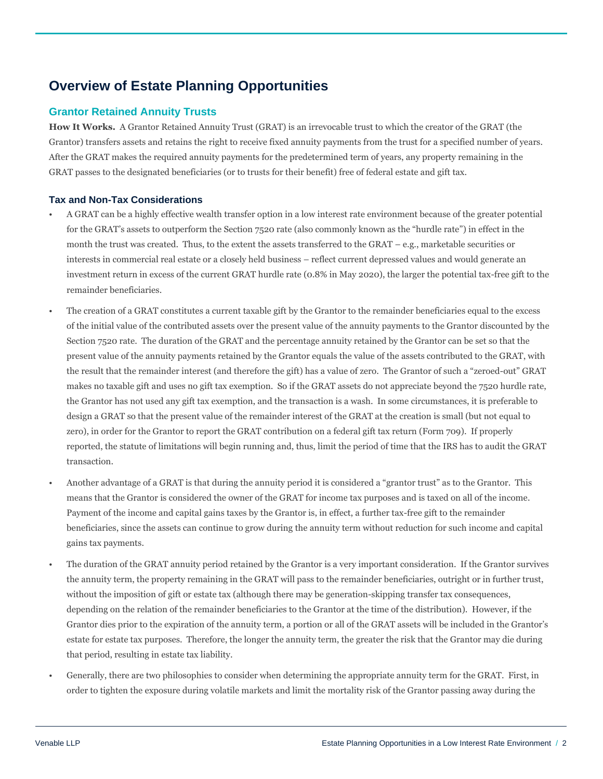## **Overview of Estate Planning Opportunities**

#### **Grantor Retained Annuity Trusts**

**How It Works.** A Grantor Retained Annuity Trust (GRAT) is an irrevocable trust to which the creator of the GRAT (the Grantor) transfers assets and retains the right to receive fixed annuity payments from the trust for a specified number of years. After the GRAT makes the required annuity payments for the predetermined term of years, any property remaining in the GRAT passes to the designated beneficiaries (or to trusts for their benefit) free of federal estate and gift tax.

#### **Tax and Non-Tax Considerations**

- A GRAT can be a highly effective wealth transfer option in a low interest rate environment because of the greater potential for the GRAT's assets to outperform the Section 7520 rate (also commonly known as the "hurdle rate") in effect in the month the trust was created. Thus, to the extent the assets transferred to the GRAT – e.g., marketable securities or interests in commercial real estate or a closely held business – reflect current depressed values and would generate an investment return in excess of the current GRAT hurdle rate (0.8% in May 2020), the larger the potential tax-free gift to the remainder beneficiaries.
- The creation of a GRAT constitutes a current taxable gift by the Grantor to the remainder beneficiaries equal to the excess of the initial value of the contributed assets over the present value of the annuity payments to the Grantor discounted by the Section 7520 rate. The duration of the GRAT and the percentage annuity retained by the Grantor can be set so that the present value of the annuity payments retained by the Grantor equals the value of the assets contributed to the GRAT, with the result that the remainder interest (and therefore the gift) has a value of zero. The Grantor of such a "zeroed-out" GRAT makes no taxable gift and uses no gift tax exemption. So if the GRAT assets do not appreciate beyond the 7520 hurdle rate, the Grantor has not used any gift tax exemption, and the transaction is a wash. In some circumstances, it is preferable to design a GRAT so that the present value of the remainder interest of the GRAT at the creation is small (but not equal to zero), in order for the Grantor to report the GRAT contribution on a federal gift tax return (Form 709). If properly reported, the statute of limitations will begin running and, thus, limit the period of time that the IRS has to audit the GRAT transaction.
- Another advantage of a GRAT is that during the annuity period it is considered a "grantor trust" as to the Grantor. This means that the Grantor is considered the owner of the GRAT for income tax purposes and is taxed on all of the income. Payment of the income and capital gains taxes by the Grantor is, in effect, a further tax-free gift to the remainder beneficiaries, since the assets can continue to grow during the annuity term without reduction for such income and capital gains tax payments.
- The duration of the GRAT annuity period retained by the Grantor is a very important consideration. If the Grantor survives the annuity term, the property remaining in the GRAT will pass to the remainder beneficiaries, outright or in further trust, without the imposition of gift or estate tax (although there may be generation-skipping transfer tax consequences, depending on the relation of the remainder beneficiaries to the Grantor at the time of the distribution). However, if the Grantor dies prior to the expiration of the annuity term, a portion or all of the GRAT assets will be included in the Grantor's estate for estate tax purposes. Therefore, the longer the annuity term, the greater the risk that the Grantor may die during that period, resulting in estate tax liability.
- Generally, there are two philosophies to consider when determining the appropriate annuity term for the GRAT. First, in order to tighten the exposure during volatile markets and limit the mortality risk of the Grantor passing away during the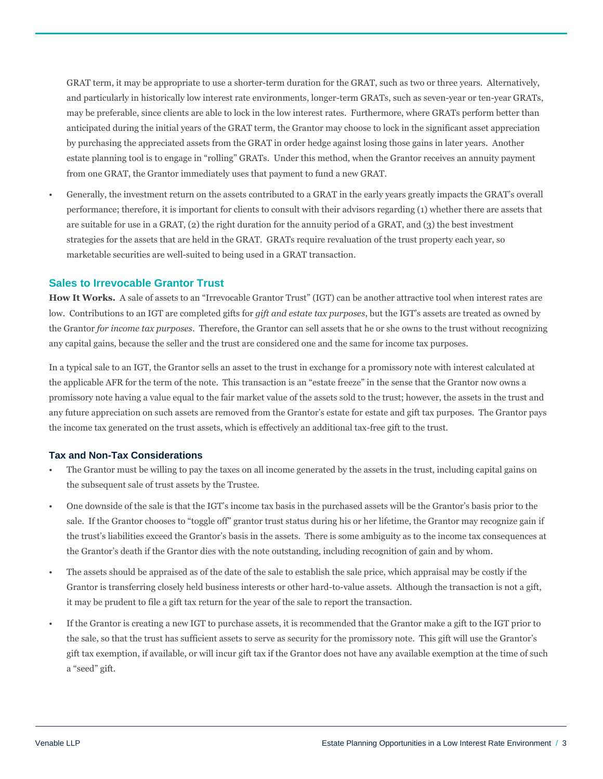GRAT term, it may be appropriate to use a shorter-term duration for the GRAT, such as two or three years. Alternatively, and particularly in historically low interest rate environments, longer-term GRATs, such as seven-year or ten-year GRATs, may be preferable, since clients are able to lock in the low interest rates. Furthermore, where GRATs perform better than anticipated during the initial years of the GRAT term, the Grantor may choose to lock in the significant asset appreciation by purchasing the appreciated assets from the GRAT in order hedge against losing those gains in later years. Another estate planning tool is to engage in "rolling" GRATs. Under this method, when the Grantor receives an annuity payment from one GRAT, the Grantor immediately uses that payment to fund a new GRAT.

• Generally, the investment return on the assets contributed to a GRAT in the early years greatly impacts the GRAT's overall performance; therefore, it is important for clients to consult with their advisors regarding (1) whether there are assets that are suitable for use in a GRAT, (2) the right duration for the annuity period of a GRAT, and (3) the best investment strategies for the assets that are held in the GRAT. GRATs require revaluation of the trust property each year, so marketable securities are well-suited to being used in a GRAT transaction.

#### **Sales to Irrevocable Grantor Trust**

**How It Works.** A sale of assets to an "Irrevocable Grantor Trust" (IGT) can be another attractive tool when interest rates are low. Contributions to an IGT are completed gifts for *gift and estate tax purposes*, but the IGT's assets are treated as owned by the Grantor *for income tax purposes*. Therefore, the Grantor can sell assets that he or she owns to the trust without recognizing any capital gains, because the seller and the trust are considered one and the same for income tax purposes.

In a typical sale to an IGT, the Grantor sells an asset to the trust in exchange for a promissory note with interest calculated at the applicable AFR for the term of the note. This transaction is an "estate freeze" in the sense that the Grantor now owns a promissory note having a value equal to the fair market value of the assets sold to the trust; however, the assets in the trust and any future appreciation on such assets are removed from the Grantor's estate for estate and gift tax purposes. The Grantor pays the income tax generated on the trust assets, which is effectively an additional tax-free gift to the trust.

#### **Tax and Non-Tax Considerations**

- The Grantor must be willing to pay the taxes on all income generated by the assets in the trust, including capital gains on the subsequent sale of trust assets by the Trustee.
- One downside of the sale is that the IGT's income tax basis in the purchased assets will be the Grantor's basis prior to the sale. If the Grantor chooses to "toggle off" grantor trust status during his or her lifetime, the Grantor may recognize gain if the trust's liabilities exceed the Grantor's basis in the assets. There is some ambiguity as to the income tax consequences at the Grantor's death if the Grantor dies with the note outstanding, including recognition of gain and by whom.
- The assets should be appraised as of the date of the sale to establish the sale price, which appraisal may be costly if the Grantor is transferring closely held business interests or other hard-to-value assets. Although the transaction is not a gift, it may be prudent to file a gift tax return for the year of the sale to report the transaction.
- If the Grantor is creating a new IGT to purchase assets, it is recommended that the Grantor make a gift to the IGT prior to the sale, so that the trust has sufficient assets to serve as security for the promissory note. This gift will use the Grantor's gift tax exemption, if available, or will incur gift tax if the Grantor does not have any available exemption at the time of such a "seed" gift.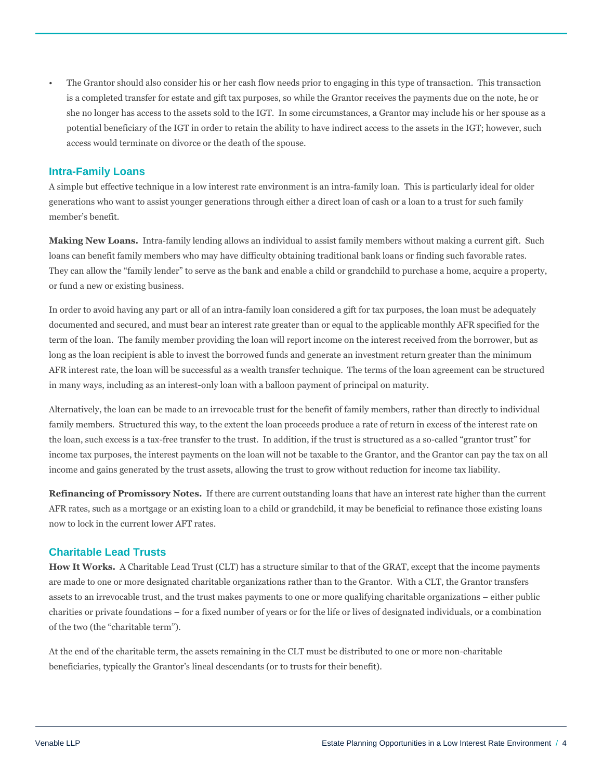• The Grantor should also consider his or her cash flow needs prior to engaging in this type of transaction. This transaction is a completed transfer for estate and gift tax purposes, so while the Grantor receives the payments due on the note, he or she no longer has access to the assets sold to the IGT. In some circumstances, a Grantor may include his or her spouse as a potential beneficiary of the IGT in order to retain the ability to have indirect access to the assets in the IGT; however, such access would terminate on divorce or the death of the spouse.

#### **Intra-Family Loans**

A simple but effective technique in a low interest rate environment is an intra-family loan. This is particularly ideal for older generations who want to assist younger generations through either a direct loan of cash or a loan to a trust for such family member's benefit.

**Making New Loans.** Intra-family lending allows an individual to assist family members without making a current gift. Such loans can benefit family members who may have difficulty obtaining traditional bank loans or finding such favorable rates. They can allow the "family lender" to serve as the bank and enable a child or grandchild to purchase a home, acquire a property, or fund a new or existing business.

In order to avoid having any part or all of an intra-family loan considered a gift for tax purposes, the loan must be adequately documented and secured, and must bear an interest rate greater than or equal to the applicable monthly AFR specified for the term of the loan. The family member providing the loan will report income on the interest received from the borrower, but as long as the loan recipient is able to invest the borrowed funds and generate an investment return greater than the minimum AFR interest rate, the loan will be successful as a wealth transfer technique. The terms of the loan agreement can be structured in many ways, including as an interest-only loan with a balloon payment of principal on maturity.

Alternatively, the loan can be made to an irrevocable trust for the benefit of family members, rather than directly to individual family members. Structured this way, to the extent the loan proceeds produce a rate of return in excess of the interest rate on the loan, such excess is a tax-free transfer to the trust. In addition, if the trust is structured as a so-called "grantor trust" for income tax purposes, the interest payments on the loan will not be taxable to the Grantor, and the Grantor can pay the tax on all income and gains generated by the trust assets, allowing the trust to grow without reduction for income tax liability.

**Refinancing of Promissory Notes.** If there are current outstanding loans that have an interest rate higher than the current AFR rates, such as a mortgage or an existing loan to a child or grandchild, it may be beneficial to refinance those existing loans now to lock in the current lower AFT rates.

#### **Charitable Lead Trusts**

**How It Works.** A Charitable Lead Trust (CLT) has a structure similar to that of the GRAT, except that the income payments are made to one or more designated charitable organizations rather than to the Grantor. With a CLT, the Grantor transfers assets to an irrevocable trust, and the trust makes payments to one or more qualifying charitable organizations – either public charities or private foundations – for a fixed number of years or for the life or lives of designated individuals, or a combination of the two (the "charitable term").

At the end of the charitable term, the assets remaining in the CLT must be distributed to one or more non-charitable beneficiaries, typically the Grantor's lineal descendants (or to trusts for their benefit).